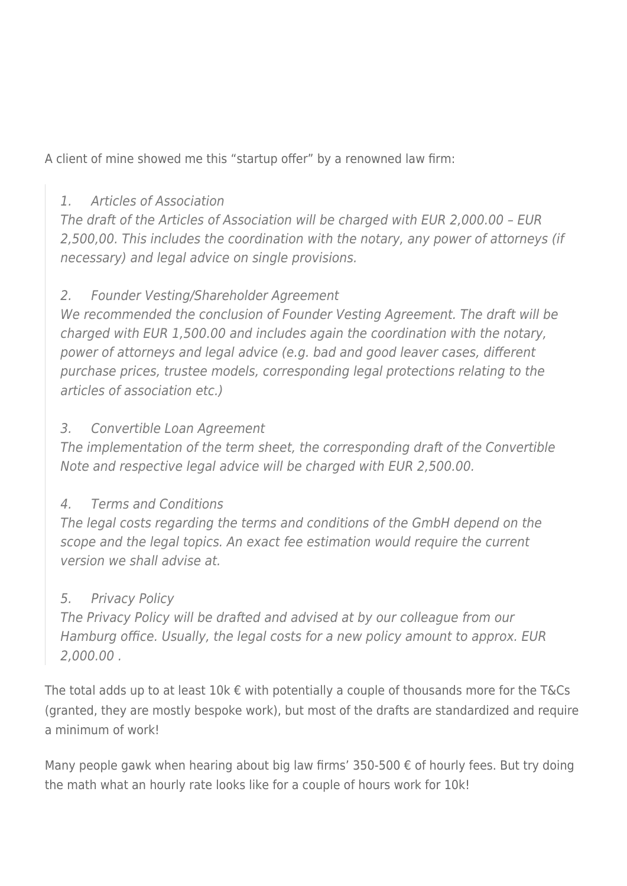A client of mine showed me this "startup offer" by a renowned law firm:

## 1. Articles of Association

The draft of the Articles of Association will be charged with EUR 2,000.00 – EUR 2,500,00. This includes the coordination with the notary, any power of attorneys (if necessary) and legal advice on single provisions.

## 2. Founder Vesting/Shareholder Agreement

We recommended the conclusion of Founder Vesting Agreement. The draft will be charged with EUR 1,500.00 and includes again the coordination with the notary, power of attorneys and legal advice (e.g. bad and good leaver cases, different purchase prices, trustee models, corresponding legal protections relating to the articles of association etc.)

## 3. Convertible Loan Agreement

The implementation of the term sheet, the corresponding draft of the Convertible Note and respective legal advice will be charged with EUR 2,500.00.

### 4. Terms and Conditions

The legal costs regarding the terms and conditions of the GmbH depend on the scope and the legal topics. An exact fee estimation would require the current version we shall advise at.

## 5. Privacy Policy

The Privacy Policy will be drafted and advised at by our colleague from our Hamburg office. Usually, the legal costs for a new policy amount to approx. EUR 2,000.00 .

The total adds up to at least 10k  $\epsilon$  with potentially a couple of thousands more for the T&Cs (granted, they are mostly bespoke work), but most of the drafts are standardized and require a minimum of work!

Many people gawk when hearing about big law firms' 350-500  $\epsilon$  of hourly fees. But try doing the math what an hourly rate looks like for a couple of hours work for 10k!